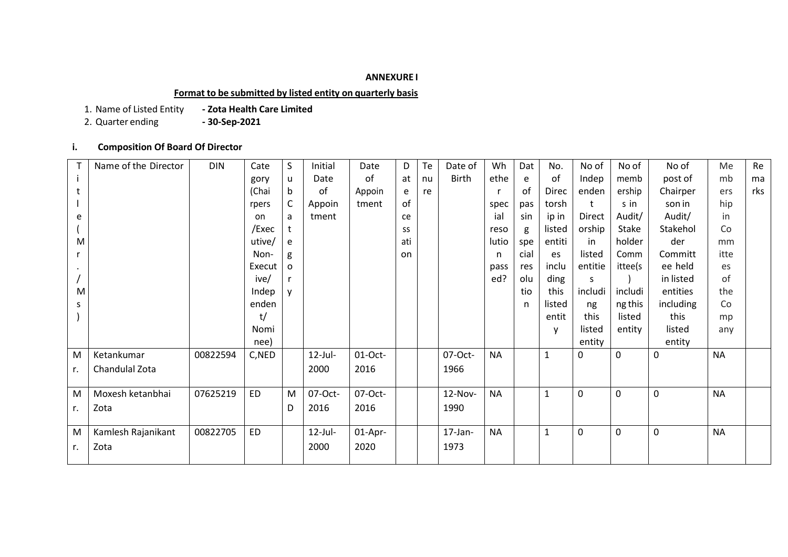## **ANNEXURE I**

**Format to be submitted by listed entity on quarterly basis**

1. Name of Listed Entity **- Zota Health Care Limited**

2. Quarter ending

**i. Composition Of Board Of Director** 

|    | Name of the Director | <b>DIN</b> | Cate      | S | Initial    | Date      | D   | Te | Date of      | Wh        | Dat  | No.          | No of         | No of       | No of     | Me        | Re  |
|----|----------------------|------------|-----------|---|------------|-----------|-----|----|--------------|-----------|------|--------------|---------------|-------------|-----------|-----------|-----|
|    |                      |            | gory      | u | Date       | of        | at  | nu | <b>Birth</b> | ethe      | e    | of           | Indep         | memb        | post of   | mb        | ma  |
|    |                      |            | (Chai     | b | of         | Appoin    | e   | re |              |           | of   | <b>Direc</b> | enden         | ership      | Chairper  | ers       | rks |
|    |                      |            | rpers     | C | Appoin     | tment     | of  |    |              | spec      | pas  | torsh        |               | s in        | son in    | hip       |     |
| e  |                      |            | on        | a | tment      |           | ce  |    |              | ial       | sin  | ip in        | <b>Direct</b> | Audit/      | Audit/    | in        |     |
|    |                      |            | /Exec     |   |            |           | SS  |    |              | reso      | g    | listed       | orship        | Stake       | Stakehol  | Co        |     |
| M  |                      |            | utive/    | e |            |           | ati |    |              | lutio     | spe  | entiti       | in            | holder      | der       | mm        |     |
|    |                      |            | Non-      | g |            |           | on  |    |              | n         | cial | es           | listed        | Comm        | Committ   | itte      |     |
|    |                      |            | Execut    | o |            |           |     |    |              | pass      | res  | inclu        | entitie       | ittee(s     | ee held   | es        |     |
|    |                      |            | ive/      |   |            |           |     |    |              | ed?       | olu  | ding         | S.            |             | in listed | of        |     |
| M  |                      |            | Indep     | v |            |           |     |    |              |           | tio  | this         | includi       | includi     | entities  | the       |     |
| S  |                      |            | enden     |   |            |           |     |    |              |           | n    | listed       | ng            | ng this     | including | Co        |     |
|    |                      |            | t/        |   |            |           |     |    |              |           |      | entit        | this          | listed      | this      | mp        |     |
|    |                      |            | Nomi      |   |            |           |     |    |              |           |      | v            | listed        | entity      | listed    | any       |     |
|    |                      |            | nee)      |   |            |           |     |    |              |           |      |              | entity        |             | entity    |           |     |
| M  | Ketankumar           | 00822594   | C,NED     |   | $12$ -Jul- | $01-Oct-$ |     |    | 07-Oct-      | <b>NA</b> |      | $\mathbf{1}$ | $\mathbf{0}$  | $\mathbf 0$ | 0         | <b>NA</b> |     |
| r. | Chandulal Zota       |            |           |   | 2000       | 2016      |     |    | 1966         |           |      |              |               |             |           |           |     |
|    |                      |            |           |   |            |           |     |    |              |           |      |              |               |             |           |           |     |
| M  | Moxesh ketanbhai     | 07625219   | <b>ED</b> | M | 07-Oct-    | 07-Oct-   |     |    | 12-Nov-      | <b>NA</b> |      | $\mathbf{1}$ | 0             | $\mathbf 0$ | 0         | <b>NA</b> |     |
| r. | Zota                 |            |           | D | 2016       | 2016      |     |    | 1990         |           |      |              |               |             |           |           |     |
|    |                      |            |           |   |            |           |     |    |              |           |      |              |               |             |           |           |     |
| M  | Kamlesh Rajanikant   | 00822705   | <b>ED</b> |   | $12$ -Jul- | 01-Apr-   |     |    | $17$ -Jan-   | <b>NA</b> |      | $\mathbf{1}$ | 0             | $\mathbf 0$ | 0         | <b>NA</b> |     |
| r. | Zota                 |            |           |   | 2000       | 2020      |     |    | 1973         |           |      |              |               |             |           |           |     |
|    |                      |            |           |   |            |           |     |    |              |           |      |              |               |             |           |           |     |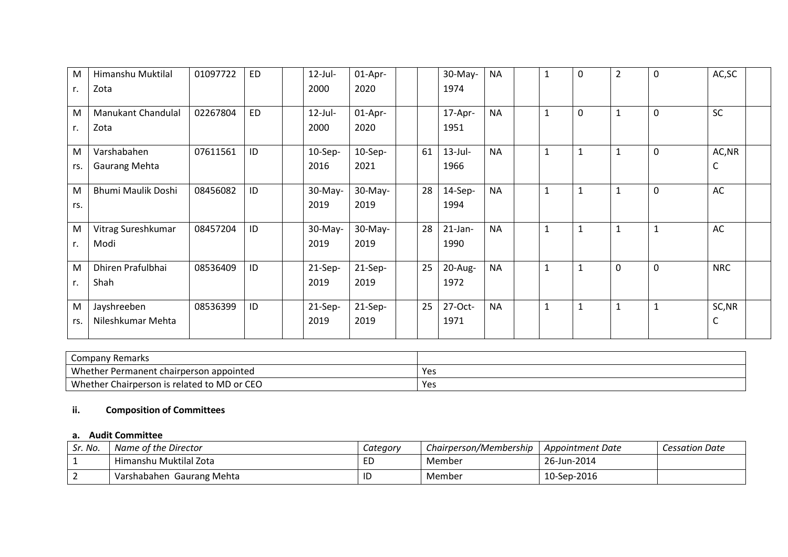| M   | Himanshu Muktilal         | 01097722 | <b>ED</b> | $12$ -Jul- | 01-Apr-    | 30-May-          | <b>NA</b> | $\mathbf{1}$ | $\mathbf 0$  | $\overline{2}$ | $\mathbf 0$    | AC, SC     |  |
|-----|---------------------------|----------|-----------|------------|------------|------------------|-----------|--------------|--------------|----------------|----------------|------------|--|
| r.  | Zota                      |          |           | 2000       | 2020       | 1974             |           |              |              |                |                |            |  |
| M   | Manukant Chandulal        | 02267804 | <b>ED</b> | $12$ -Jul- | 01-Apr-    | 17-Apr-          | <b>NA</b> | $\mathbf{1}$ | $\mathbf 0$  | $\mathbf{1}$   | $\overline{0}$ | <b>SC</b>  |  |
| r.  | Zota                      |          |           | 2000       | 2020       | 1951             |           |              |              |                |                |            |  |
| M   | Varshabahen               | 07611561 | ID        | 10-Sep-    | $10-$ Sep- | 61<br>$13$ -Jul- | <b>NA</b> | $\mathbf{1}$ | $\mathbf{1}$ | $\mathbf{1}$   | $\mathbf 0$    | AC, NR     |  |
| rs. | <b>Gaurang Mehta</b>      |          |           | 2016       | 2021       | 1966             |           |              |              |                |                | С          |  |
| M   | <b>Bhumi Maulik Doshi</b> | 08456082 | ID        | 30-May-    | $30-May-$  | 28<br>$14-Sep-$  | <b>NA</b> | $\mathbf{1}$ | $\mathbf{1}$ | $\mathbf{1}$   | $\mathbf 0$    | AC         |  |
| rs. |                           |          |           | 2019       | 2019       | 1994             |           |              |              |                |                |            |  |
| M   | Vitrag Sureshkumar        | 08457204 | ID        | $30-May-$  | $30-May-$  | 28<br>$21$ -Jan- | <b>NA</b> | $\mathbf{1}$ | $\mathbf{1}$ | $\mathbf{1}$   |                | AC         |  |
| r.  | Modi                      |          |           | 2019       | 2019       | 1990             |           |              |              |                |                |            |  |
| M   | Dhiren Prafulbhai         | 08536409 | ID        | $21-Sep-$  | $21-Sep-$  | 25<br>$20$ -Aug- | <b>NA</b> | $\mathbf{1}$ | $\mathbf{1}$ | $\mathbf 0$    | $\mathbf 0$    | <b>NRC</b> |  |
| r.  | Shah                      |          |           | 2019       | 2019       | 1972             |           |              |              |                |                |            |  |
| M   | Jayshreeben               | 08536399 | ID        | 21-Sep-    | $21-Sep-$  | 25<br>27-Oct-    | <b>NA</b> | $\mathbf{1}$ | $\mathbf{1}$ | $\mathbf{1}$   |                | SC, NR     |  |
| rs. | Nileshkumar Mehta         |          |           | 2019       | 2019       | 1971             |           |              |              |                |                | С          |  |

| Remarks<br>Company                          |     |
|---------------------------------------------|-----|
| Whether Permanent chairperson appointed     | Yes |
| Whether Chairperson is related to MD or CEO | Yes |

# **ii. Composition of Committees**

#### **a. Audit Committee**

| Sr. No.         | Name of the Director         | Category | Chairperson/Membership | Appointment Date | <b>Cessation Date</b> |
|-----------------|------------------------------|----------|------------------------|------------------|-----------------------|
| ᆠ               | Himanshu Muktilal Zota       | ED       | Member                 | 26-Jun-2014      |                       |
| $\sqrt{2}$<br>╶ | Gaurang Mehta<br>Varshabahen | ID       | Member                 | 10-Sep-2016      |                       |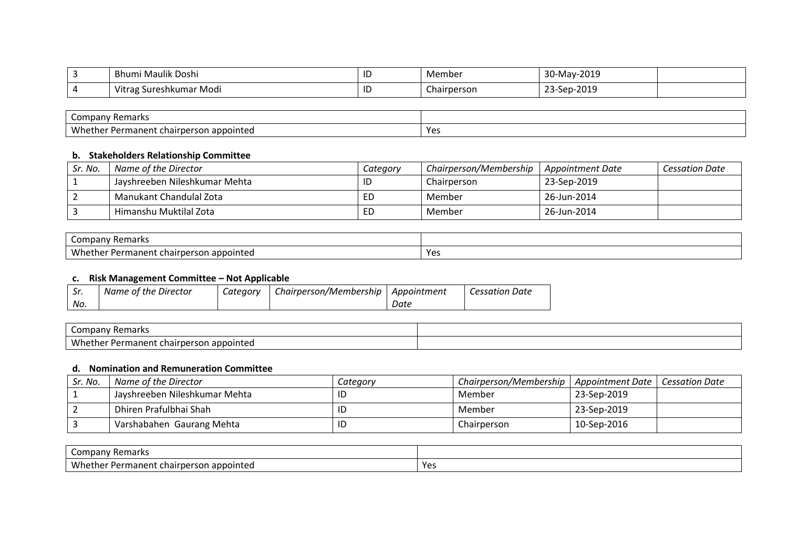| ∽ | Bhumi Maulik Doshi                  | ТD | Member                | 30-May-2019                                          |  |
|---|-------------------------------------|----|-----------------------|------------------------------------------------------|--|
|   |                                     |    |                       |                                                      |  |
|   | . .<br>. Sureshkumar Modi<br>Vitrag | ID | $\sim$<br>Chairperson | $\sim$ $\sim$ $\sim$<br>$\sim$<br>-sep<br>-2011<br>້ |  |

| -<br>' Remarks<br>Company                                        |             |
|------------------------------------------------------------------|-------------|
| Whether<br>appointed<br>r Permanent<br>. chairb<br>rson<br>rper. | ۷۵٥<br>, сэ |

## **b. Stakeholders Relationship Committee**

| Sr. No. | Name of the Director          | Category | Chairperson/Membership | Appointment Date | <b>Cessation Date</b> |
|---------|-------------------------------|----------|------------------------|------------------|-----------------------|
|         | Jayshreeben Nileshkumar Mehta | ID       | Chairperson            | 23-Sep-2019      |                       |
|         | Manukant Chandulal Zota       | ED       | Member                 | 26-Jun-2014      |                       |
|         | Himanshu Muktilal Zota        | ED       | Member                 | 26-Jun-2014      |                       |

| $\sim$<br>'emarks<br>nen.<br>ິບ                          |     |
|----------------------------------------------------------|-----|
| - Wh<br>i appointed<br>---<br>Permanent<br>rsor<br>cnair | Yes |

# **c. Risk Management Committee – Not Applicable**

| Sr. | Name of the Director | Category | Chairperson/Membership   Appointment |      | <b>Cessation Date</b> |
|-----|----------------------|----------|--------------------------------------|------|-----------------------|
| No. |                      |          |                                      | Date |                       |

| $\sim$<br>----<br>$\mathbf{r}$<br>or<br>'idi N.<br>~~ |  |
|-------------------------------------------------------|--|
| 111<br>. maner<br>"SOr<br>∼⊷<br>.nair<br>. LE U       |  |

# **d. Nomination and Remuneration Committee**

| Sr. No. | Name of the Director          | Category | Chairperson/Membership   Appointment Date |             | Cessation Date |
|---------|-------------------------------|----------|-------------------------------------------|-------------|----------------|
|         | Jayshreeben Nileshkumar Mehta | ID       | Member                                    | 23-Sep-2019 |                |
|         | Dhiren Prafulbhai Shah        | ID       | Member                                    | 23-Sep-2019 |                |
|         | Varshabahen Gaurang Mehta     | ID       | Chairperson                               | 10-Sep-2016 |                |

| Company '<br>Remarks                                                        |           |
|-----------------------------------------------------------------------------|-----------|
| Whei<br>າ appointed<br><sup>.</sup> Permanent<br>rson<br>chairpers<br>. mer | ۷۵<br>ب ب |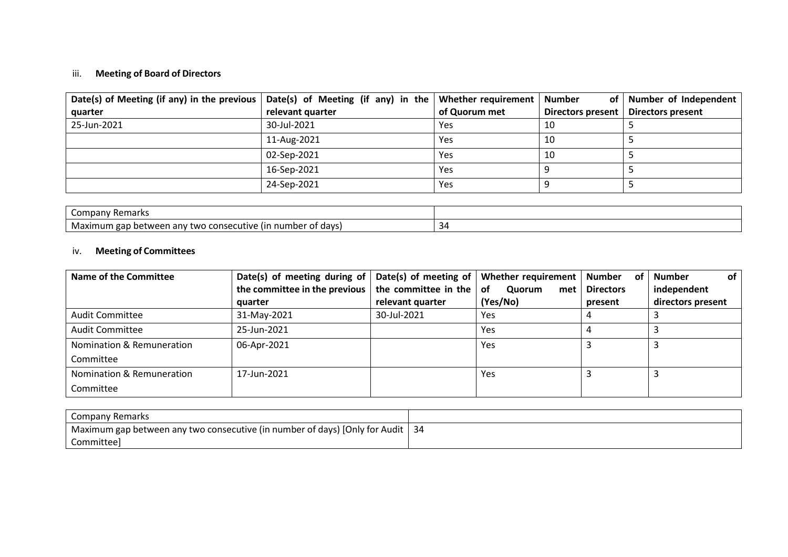# iii. **Meeting of Board of Directors**

| Date(s) of Meeting (if any) in the previous   Date(s) of Meeting (if any) in the   Whether requirement |                  |               | Number<br>of      | Number of Independent    |
|--------------------------------------------------------------------------------------------------------|------------------|---------------|-------------------|--------------------------|
| quarter                                                                                                | relevant quarter | of Quorum met | Directors present | <b>Directors present</b> |
| 25-Jun-2021                                                                                            | 30-Jul-2021      | Yes           | 10                |                          |
|                                                                                                        | 11-Aug-2021      | Yes           | 10                |                          |
|                                                                                                        | 02-Sep-2021      | Yes           | 10                |                          |
|                                                                                                        | 16-Sep-2021      | Yes           |                   |                          |
|                                                                                                        | 24-Sep-2021      | Yes           |                   |                          |

| Remarks<br>.<br>ິ                                                                                           |                          |
|-------------------------------------------------------------------------------------------------------------|--------------------------|
| • Maximum gap<br>numb<br>davs<br>ecutive<br>.<br>ır<br>two<br>$\sim$<br>conse<br>i anv<br>ັບ<br><br>$\cdot$ | $\overline{\phantom{a}}$ |

## iv. **Meeting of Committees**

| Name of the Committee     | Date(s) of meeting during of  |                                 | Date(s) of meeting of   Whether requirement | <b>Number</b><br>of | Number<br>οf      |
|---------------------------|-------------------------------|---------------------------------|---------------------------------------------|---------------------|-------------------|
|                           | the committee in the previous | the committee in the $\vert$ of | Quorum<br>met                               | <b>Directors</b>    | independent       |
|                           | quarter                       | relevant quarter                | (Yes/No)                                    | present             | directors present |
| Audit Committee           | 31-May-2021                   | 30-Jul-2021                     | Yes                                         |                     |                   |
| Audit Committee           | 25-Jun-2021                   |                                 | Yes                                         |                     |                   |
| Nomination & Remuneration | 06-Apr-2021                   |                                 | Yes                                         |                     |                   |
| Committee                 |                               |                                 |                                             |                     |                   |
| Nomination & Remuneration | 17-Jun-2021                   |                                 | Yes                                         |                     |                   |
| Committee                 |                               |                                 |                                             |                     |                   |

| Company Remarks                                                                    |  |
|------------------------------------------------------------------------------------|--|
| ' Maximum gap between any two consecutive (in number of days) [Only for Audit   34 |  |
| Committee                                                                          |  |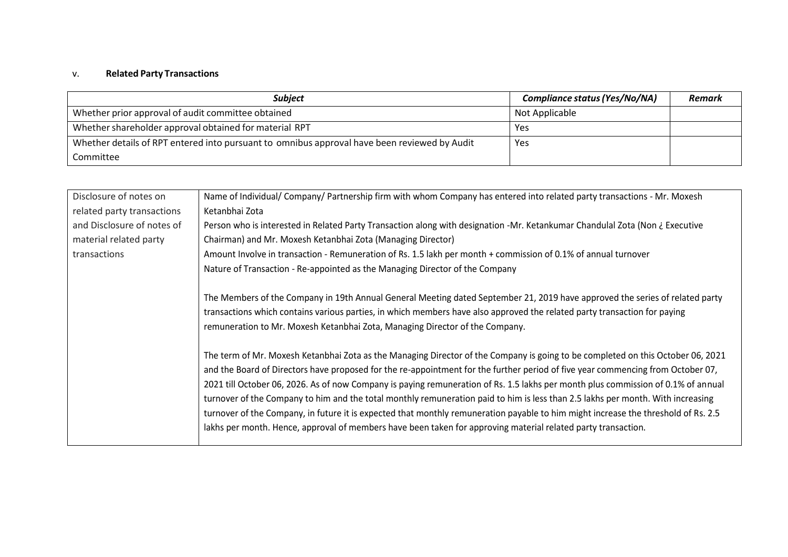# v. **Related Party Transactions**

| <b>Subject</b>                                                                               | Compliance status (Yes/No/NA) | Remark |
|----------------------------------------------------------------------------------------------|-------------------------------|--------|
| Whether prior approval of audit committee obtained                                           | Not Applicable                |        |
| Whether shareholder approval obtained for material RPT                                       | Yes                           |        |
| Whether details of RPT entered into pursuant to omnibus approval have been reviewed by Audit | Yes                           |        |
| Committee                                                                                    |                               |        |

| Disclosure of notes on     | Name of Individual/ Company/ Partnership firm with whom Company has entered into related party transactions - Mr. Moxesh                                                                                                                                                                                                                                                                                                                                                                                                                                                                                                                                                                                                                                                                          |
|----------------------------|---------------------------------------------------------------------------------------------------------------------------------------------------------------------------------------------------------------------------------------------------------------------------------------------------------------------------------------------------------------------------------------------------------------------------------------------------------------------------------------------------------------------------------------------------------------------------------------------------------------------------------------------------------------------------------------------------------------------------------------------------------------------------------------------------|
| related party transactions | Ketanbhai Zota                                                                                                                                                                                                                                                                                                                                                                                                                                                                                                                                                                                                                                                                                                                                                                                    |
| and Disclosure of notes of | Person who is interested in Related Party Transaction along with designation -Mr. Ketankumar Chandulal Zota (Non ¿ Executive                                                                                                                                                                                                                                                                                                                                                                                                                                                                                                                                                                                                                                                                      |
| material related party     | Chairman) and Mr. Moxesh Ketanbhai Zota (Managing Director)                                                                                                                                                                                                                                                                                                                                                                                                                                                                                                                                                                                                                                                                                                                                       |
| transactions               | Amount Involve in transaction - Remuneration of Rs. 1.5 lakh per month + commission of 0.1% of annual turnover                                                                                                                                                                                                                                                                                                                                                                                                                                                                                                                                                                                                                                                                                    |
|                            | Nature of Transaction - Re-appointed as the Managing Director of the Company                                                                                                                                                                                                                                                                                                                                                                                                                                                                                                                                                                                                                                                                                                                      |
|                            | The Members of the Company in 19th Annual General Meeting dated September 21, 2019 have approved the series of related party                                                                                                                                                                                                                                                                                                                                                                                                                                                                                                                                                                                                                                                                      |
|                            | transactions which contains various parties, in which members have also approved the related party transaction for paying                                                                                                                                                                                                                                                                                                                                                                                                                                                                                                                                                                                                                                                                         |
|                            | remuneration to Mr. Moxesh Ketanbhai Zota, Managing Director of the Company.                                                                                                                                                                                                                                                                                                                                                                                                                                                                                                                                                                                                                                                                                                                      |
|                            | The term of Mr. Moxesh Ketanbhai Zota as the Managing Director of the Company is going to be completed on this October 06, 2021<br>and the Board of Directors have proposed for the re-appointment for the further period of five year commencing from October 07,<br>2021 till October 06, 2026. As of now Company is paying remuneration of Rs. 1.5 lakhs per month plus commission of 0.1% of annual<br>turnover of the Company to him and the total monthly remuneration paid to him is less than 2.5 lakhs per month. With increasing<br>turnover of the Company, in future it is expected that monthly remuneration payable to him might increase the threshold of Rs. 2.5<br>lakhs per month. Hence, approval of members have been taken for approving material related party transaction. |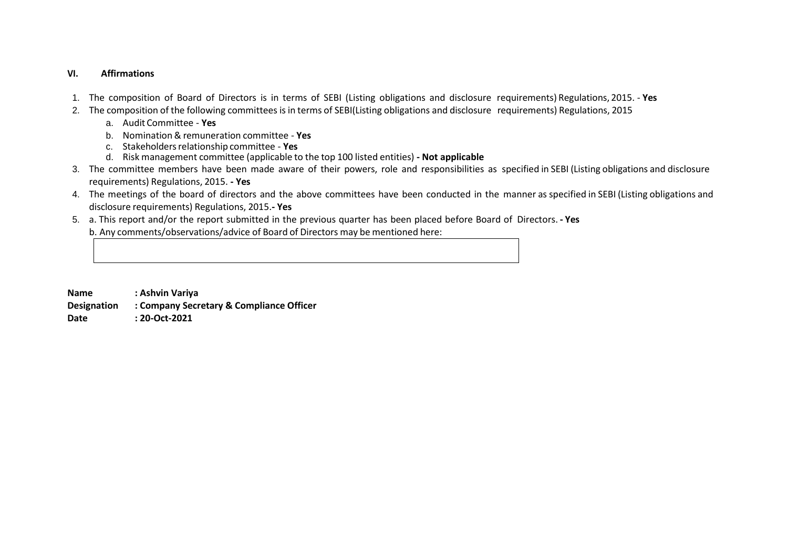#### **VI. Affirmations**

- 1. The composition of Board of Directors is in terms of SEBI (Listing obligations and disclosure requirements) Regulations, 2015. **Yes**
- 2. The composition of the following committees is in terms of SEBI(Listing obligations and disclosure requirements) Regulations, 2015
	- a. Audit Committee **Yes**
	- b. Nomination& remuneration committee **Yes**
	- c. Stakeholdersrelationship committee **Yes**
	- d. Risk management committee (applicable to the top 100 listed entities) **- Not applicable**
- 3. The committee members have been made aware of their powers, role and responsibilities as specified in SEBI (Listing obligations and disclosure requirements) Regulations, 2015. **- Yes**
- 4. The meetings of the board of directors and the above committees have been conducted in the manner as specified in SEBI (Listing obligations and disclosure requirements) Regulations, 2015.**- Yes**
- 5. a. This report and/or the report submitted in the previous quarter has been placed before Board of Directors. **- Yes** b. Any comments/observations/advice of Board of Directors may be mentioned here:

**Name : Ashvin Variya Designation : Company Secretary & Compliance Officer Date : 20-Oct-2021**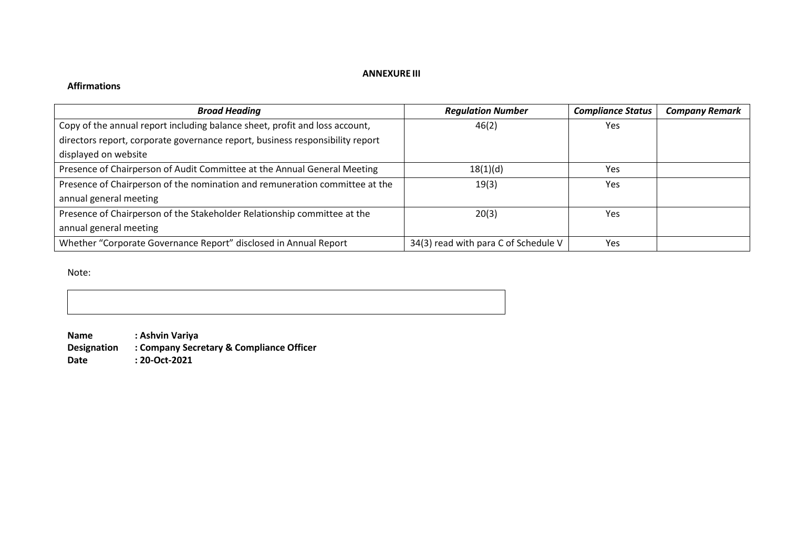### **ANNEXURE III**

# **Affirmations**

| <b>Broad Heading</b>                                                          | <b>Regulation Number</b>             | <b>Compliance Status</b> | <b>Company Remark</b> |
|-------------------------------------------------------------------------------|--------------------------------------|--------------------------|-----------------------|
| Copy of the annual report including balance sheet, profit and loss account,   | 46(2)                                | Yes                      |                       |
| directors report, corporate governance report, business responsibility report |                                      |                          |                       |
| displayed on website                                                          |                                      |                          |                       |
| Presence of Chairperson of Audit Committee at the Annual General Meeting      | 18(1)(d)                             | <b>Yes</b>               |                       |
| Presence of Chairperson of the nomination and remuneration committee at the   | 19(3)                                | <b>Yes</b>               |                       |
| annual general meeting                                                        |                                      |                          |                       |
| Presence of Chairperson of the Stakeholder Relationship committee at the      | 20(3)                                | <b>Yes</b>               |                       |
| annual general meeting                                                        |                                      |                          |                       |
| Whether "Corporate Governance Report" disclosed in Annual Report              | 34(3) read with para C of Schedule V | <b>Yes</b>               |                       |

Note:

**Name : Ashvin Variya Designation : Company Secretary & Compliance Officer**

**Date : 20-Oct-2021**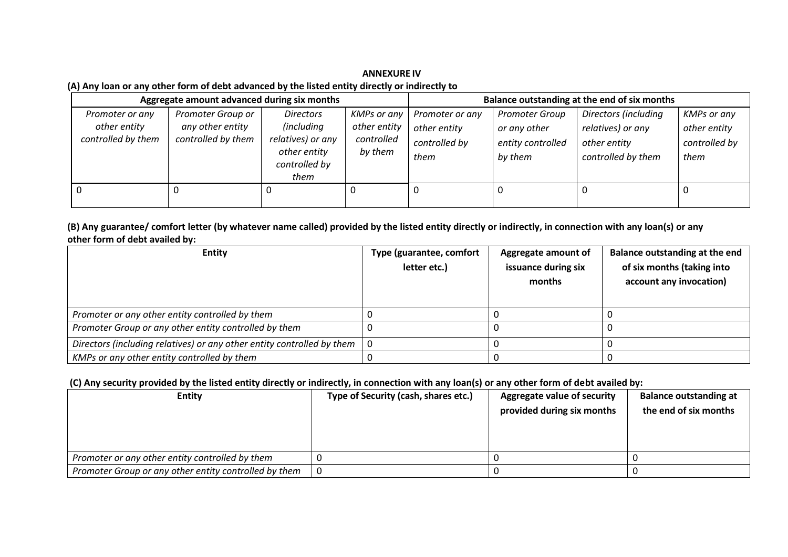**ANNEXURE IV (A) Any loan or any other form of debt advanced by the listed entity directly or indirectly to**

| Aggregate amount advanced during six months           |                                                             | Balance outstanding at the end of six months                                                        |                                                      |                                                          |                                                                       |                                                                                 |                                                             |
|-------------------------------------------------------|-------------------------------------------------------------|-----------------------------------------------------------------------------------------------------|------------------------------------------------------|----------------------------------------------------------|-----------------------------------------------------------------------|---------------------------------------------------------------------------------|-------------------------------------------------------------|
| Promoter or any<br>other entity<br>controlled by them | Promoter Group or<br>any other entity<br>controlled by them | <b>Directors</b><br><i>(including</i><br>relatives) or any<br>other entity<br>controlled by<br>them | KMPs or any<br>other entity<br>controlled<br>by them | Promoter or any<br>other entity<br>controlled by<br>them | <b>Promoter Group</b><br>or any other<br>entity controlled<br>by them | Directors (including<br>relatives) or any<br>other entity<br>controlled by them | <b>KMPs or any</b><br>other entity<br>controlled by<br>them |
|                                                       |                                                             |                                                                                                     |                                                      |                                                          |                                                                       |                                                                                 |                                                             |

**(B) Any guarantee/ comfort letter (by whatever name called) provided by the listed entity directly or indirectly, in connection with any loan(s) or any other form of debt availed by:**

| <b>Entity</b>                                                          | Type (guarantee, comfort | Aggregate amount of | Balance outstanding at the end |
|------------------------------------------------------------------------|--------------------------|---------------------|--------------------------------|
|                                                                        | letter etc.)             | issuance during six | of six months (taking into     |
|                                                                        |                          | months              | account any invocation)        |
|                                                                        |                          |                     |                                |
| Promoter or any other entity controlled by them                        |                          |                     |                                |
| Promoter Group or any other entity controlled by them                  |                          |                     |                                |
| Directors (including relatives) or any other entity controlled by them |                          |                     |                                |
| KMPs or any other entity controlled by them                            |                          |                     |                                |

# **(C) Any security provided by the listed entity directly or indirectly, in connection with any loan(s) or any other form of debt availed by:**

| <b>Entity</b>                                         | Type of Security (cash, shares etc.) | <b>Aggregate value of security</b><br>provided during six months | <b>Balance outstanding at</b><br>the end of six months |
|-------------------------------------------------------|--------------------------------------|------------------------------------------------------------------|--------------------------------------------------------|
| Promoter or any other entity controlled by them       |                                      |                                                                  |                                                        |
| Promoter Group or any other entity controlled by them |                                      |                                                                  |                                                        |